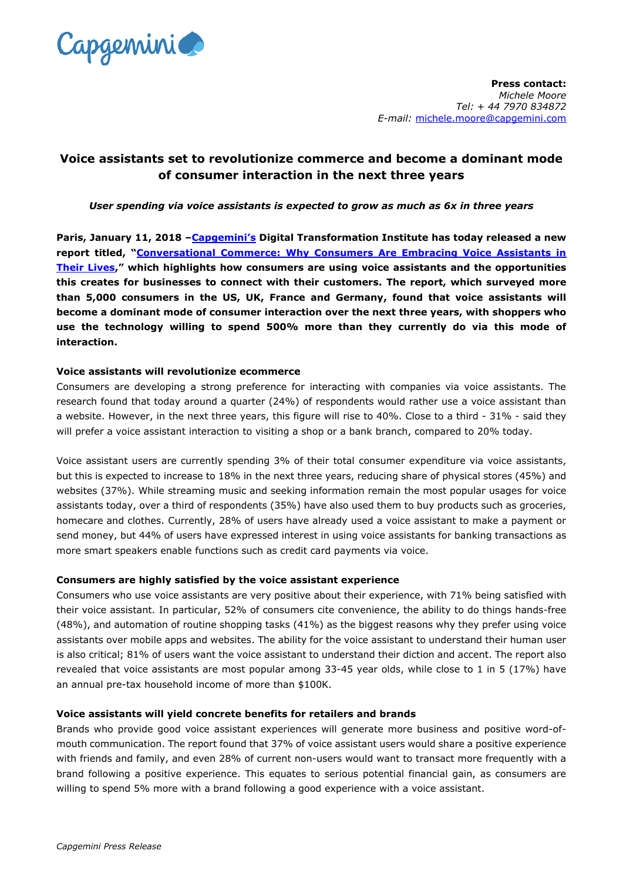

# **Voice assistants set to revolutionize commerce and become a dominant mode of consumer interaction in the next three years**

# *User spending via voice assistants is expected to grow as much as 6x in three years*

**Paris, January 11, 2018 [–Capgemini's](https://www.capgemini.com/) Digital Transformation Institute has today released a new report titled, "Conversational Commerce: [Why Consumers Are Embracing Voice Assistants in](https://www.capgemini.com/resources/conversational-commerce-dti-report/?utm_source=pr&utm_medium=referral&utm_content=dcx_none_link_report_conv_commerce&utm_campaign=disruptdigital_dti)  [Their Lives,](https://www.capgemini.com/resources/conversational-commerce-dti-report/?utm_source=pr&utm_medium=referral&utm_content=dcx_none_link_report_conv_commerce&utm_campaign=disruptdigital_dti)" which highlights how consumers are using voice assistants and the opportunities this creates for businesses to connect with their customers. The report, which surveyed more than 5,000 consumers in the US, UK, France and Germany, found that voice assistants will become a dominant mode of consumer interaction over the next three years, with shoppers who use the technology willing to spend 500% more than they currently do via this mode of interaction.** 

## **Voice assistants will revolutionize ecommerce**

Consumers are developing a strong preference for interacting with companies via voice assistants. The research found that today around a quarter (24%) of respondents would rather use a voice assistant than a website. However, in the next three years, this figure will rise to 40%. Close to a third - 31% - said they will prefer a voice assistant interaction to visiting a shop or a bank branch, compared to 20% today.

Voice assistant users are currently spending 3% of their total consumer expenditure via voice assistants, but this is expected to increase to 18% in the next three years, reducing share of physical stores (45%) and websites (37%). While streaming music and seeking information remain the most popular usages for voice assistants today, over a third of respondents (35%) have also used them to buy products such as groceries, homecare and clothes. Currently, 28% of users have already used a voice assistant to make a payment or send money, but 44% of users have expressed interest in using voice assistants for banking transactions as more smart speakers enable functions such as credit card payments via voice.

### **Consumers are highly satisfied by the voice assistant experience**

Consumers who use voice assistants are very positive about their experience, with 71% being satisfied with their voice assistant. In particular, 52% of consumers cite convenience, the ability to do things hands-free (48%), and automation of routine shopping tasks (41%) as the biggest reasons why they prefer using voice assistants over mobile apps and websites. The ability for the voice assistant to understand their human user is also critical; 81% of users want the voice assistant to understand their diction and accent. The report also revealed that voice assistants are most popular among 33-45 year olds, while close to 1 in 5 (17%) have an annual pre-tax household income of more than \$100K.

# **Voice assistants will yield concrete benefits for retailers and brands**

Brands who provide good voice assistant experiences will generate more business and positive word-ofmouth communication. The report found that 37% of voice assistant users would share a positive experience with friends and family, and even 28% of current non-users would want to transact more frequently with a brand following a positive experience. This equates to serious potential financial gain, as consumers are willing to spend 5% more with a brand following a good experience with a voice assistant.